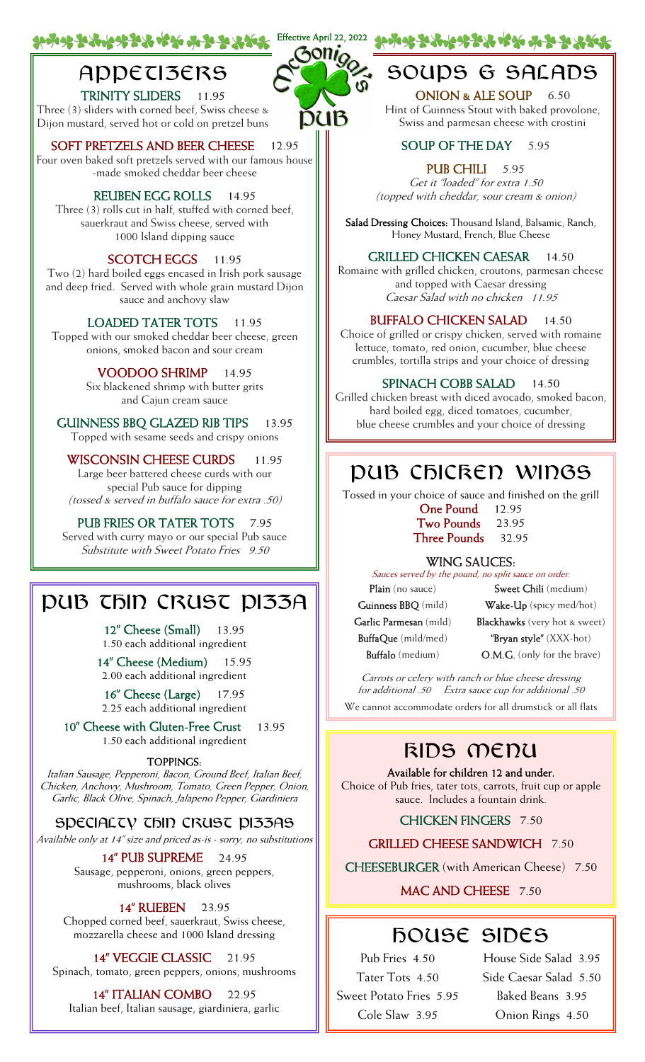# **APPECI3ERS**

TRINITY SLIDERS 11.95 Three (3) sliders with corned beef, Swiss cheese & Dijon mustard, served hot or cold on pretzel buns

SOFT PRETZELS AND BEER CHEESE 12.95 Four oven baked soft pretzels served with our famous house -made smoked cheddar beer cheese

#### REUBEN EGG ROLLS 14.95

Three (3) rolls cut in half, stuffed with corned beef, sauerkraut and Swiss cheese, served with 1000 Island dipping sauce

#### SCOTCH EGGS 11.95

Two (2) hard boiled eggs encased in Irish pork sausage and deep fried. Served with whole grain mustard Dijon sauce and anchovy slaw

LOADED TATER TOTS 11.95 Topped with our smoked cheddar beer cheese, green onions, smoked bacon and sour cream

> VOODOO SHRIMP 14.95 Six blackened shrimp with butter grits and Cajun cream sauce

GUINNESS BBQ GLAZED RIB TIPS 13.95 Topped with sesame seeds and crispy onions

WISCONSIN CHEESE CURDS 11.95 Large beer battered cheese curds with our special Pub sauce for dipping (tossed & served in buffalo sauce for extra .50)

PUB FRIES OR TATER TOTS 7.95 Served with curry mayo or our special Pub sauce Substitute with Sweet Potato Fries 9.50

## DUB THIN CRUST DI33A

12" Cheese (Small) 13.95 1.50 each additional ingredient

14" Cheese (Medium) 15.95 2.00 each additional ingredient

16‰ Cheese (Large) 17.95 2.25 each additional ingredient

10" Cheese with Gluten-Free Crust 13.95 1.50 each additional ingredient

#### TOPPINGS:

Italian Sausage, Pepperoni, Bacon, Ground Beef, Italian Beef, Chicken, Anchovy, Mushroom, Tomato, Green Pepper, Onion, Garlic, Black Olive, Spinach, Jalapeno Pepper, Giardiniera

SPECIALTY THIN CRUST PI33AS

Available only at 14‰ size and priced as-is - sorry, no substitutions

14" PUB SUPREME 24.95 Sausage, pepperoni, onions, green peppers, mushrooms, black olives

14" RUEBEN 23.95

Chopped corned beef, sauerkraut, Swiss cheese, mozzarella cheese and 1000 Island dressing

14" VEGGIE CLASSIC 21.95 Spinach, tomato, green peppers, onions, mushrooms

14" **ITALIAN COMBO** 22.95 Italian beef, Italian sausage, giardiniera, garlic



## SOUPS & SALADS

ONION & ALE SOUP 6.50 Hint of Guinness Stout with baked provolone, Swiss and parmesan cheese with crostini

#### SOUP OF THE DAY 5.95

PUB CHILI 5.95 Get it "loaded" for extra 1.50 (topped with cheddar, sour cream & onion)

Salad Dressing Choices: Thousand Island, Balsamic, Ranch, Honey Mustard, French, Blue Cheese

#### GRILLED CHICKEN CAESAR 14.50

Romaine with grilled chicken, croutons, parmesan cheese and topped with Caesar dressing Caesar Salad with no chicken 11.95

#### BUFFALO CHICKEN SALAD 14.50

Choice of grilled or crispy chicken, served with romaine lettuce, tomato, red onion, cucumber, blue cheese crumbles, tortilla strips and your choice of dressing

#### SPINACH COBB SALAD 14.50

Grilled chicken breast with diced avocado, smoked bacon, hard boiled egg, diced tomatoes, cucumber, blue cheese crumbles and your choice of dressing

### PUB CFICRED WIDGS

Tossed in your choice of sauce and finished on the grill

One Pound 12.95 Two Pounds 23.95 Three Pounds 32.95

#### WING SAUCES:

Sauces served by the pound, no split sauce on order. Plain (no sauce) Guinness BBQ (mild) Garlic Parmesan (mild) BuffaQue (mild/med) Buffalo (medium)

Sweet Chili (medium) Wake-Up (spicy med/hot) Blackhawks (very hot & sweet) "Bryan style" (XXX-hot) O.M.G. (only for the brave)

Carrots or celery with ranch or blue cheese dressing for additional .50 Extra sauce cup for additional .50 We cannot accommodate orders for all drumstick or all flats

### KIDS MENU

Available for children 12 and under. Choice of Pub fries, tater tots, carrots, fruit cup or apple sauce. Includes a fountain drink.

#### CHICKEN FINGERS 7.50

GRILLED CHEESE SANDWICH 7.50

CHEESEBURGER (with American Cheese) 7.50

#### MAC AND CHEESE 7.50

# HOUSE SIDES

Pub Fries 4.50 Tater Tots 4.50 Sweet Potato Fries 5.95 Cole Slaw 3.95

House Side Salad 3.95 Side Caesar Salad 5.50 Baked Beans 3.95 Onion Rings 4.50